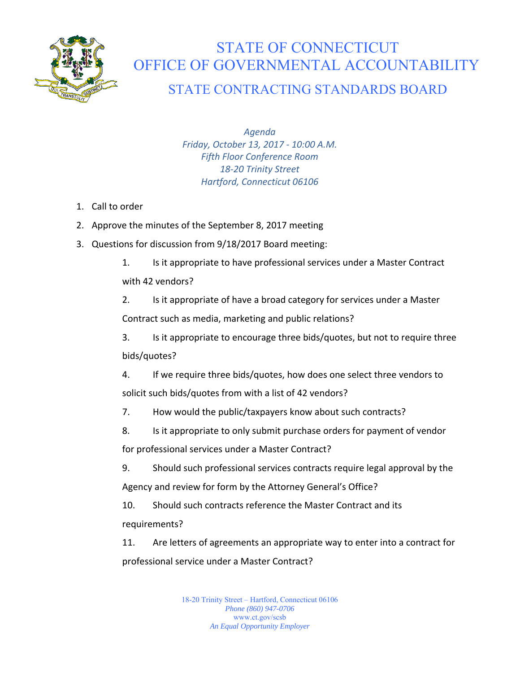

## STATE OF CONNECTICUT OFFICE OF GOVERNMENTAL ACCOUNTABILITY

## STATE CONTRACTING STANDARDS BOARD

*Agenda Friday, October 13, 2017 ‐ 10:00 A.M. Fifth Floor Conference Room 18‐20 Trinity Street Hartford, Connecticut 06106* 

- 1. Call to order
- 2. Approve the minutes of the September 8, 2017 meeting
- 3. Questions for discussion from 9/18/2017 Board meeting:
	- 1. Is it appropriate to have professional services under a Master Contract

## with 42 vendors?

2. Is it appropriate of have a broad category for services under a Master Contract such as media, marketing and public relations?

3. Is it appropriate to encourage three bids/quotes, but not to require three bids/quotes?

4. If we require three bids/quotes, how does one select three vendors to solicit such bids/quotes from with a list of 42 vendors?

- 7. How would the public/taxpayers know about such contracts?
- 8. Is it appropriate to only submit purchase orders for payment of vendor

for professional services under a Master Contract?

9. Should such professional services contracts require legal approval by the Agency and review for form by the Attorney General's Office?

10. Should such contracts reference the Master Contract and its requirements?

11. Are letters of agreements an appropriate way to enter into a contract for professional service under a Master Contract?